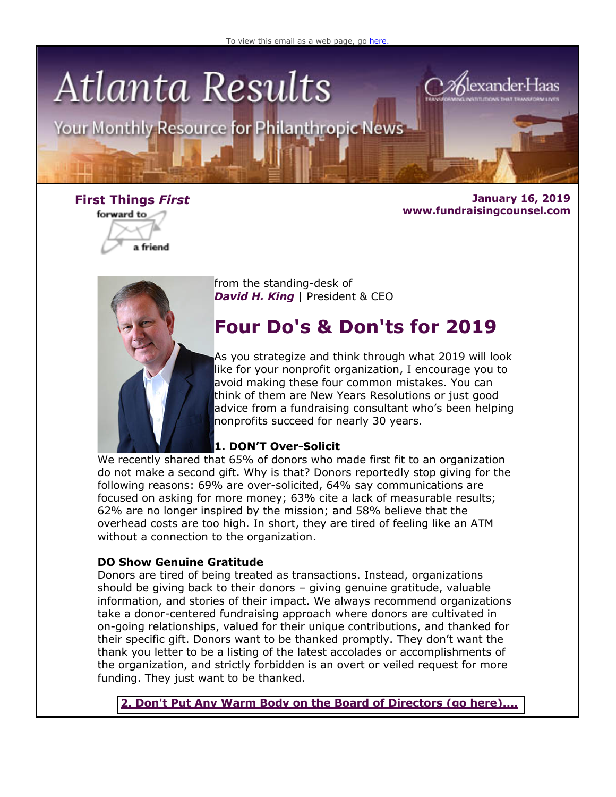

Your Monthly Resource for Philanthropic News



**First Things** *First* **January 16, 2019 www.fundraisingcounsel.com**

lexander H



from the standing-desk of **David H. King** | President & CEO

### **Four Do's & Don'ts for 2019**

As you strategize and think through what 2019 will look like for your nonprofit organization, I encourage you to avoid making these four common mistakes. You can think of them are New Years Resolutions or just good advice from a fundraising consultant who's been helping nonprofits succeed for nearly 30 years.

### **1. DON'T Over-Solicit**

We recently shared that 65% of donors who made first fit to an organization do not make a second gift. Why is that? Donors reportedly stop giving for the following reasons: 69% are over-solicited, 64% say communications are focused on asking for more money; 63% cite a lack of measurable results; 62% are no longer inspired by the mission; and 58% believe that the overhead costs are too high. In short, they are tired of feeling like an ATM without a connection to the organization.

### **DO Show Genuine Gratitude**

Donors are tired of being treated as transactions. Instead, organizations should be giving back to their donors – giving genuine gratitude, valuable information, and stories of their impact. We always recommend organizations take a donor-centered fundraising approach where donors are cultivated in on-going relationships, valued for their unique contributions, and thanked for their specific gift. Donors want to be thanked promptly. They don't want the thank you letter to be a listing of the latest accolades or accomplishments of the organization, and strictly forbidden is an overt or veiled request for more funding. They just want to be thanked.

**[2. Don't Put Any Warm Body on the Board of Directors \(go here\)....](http://fundraisingcounsel.com/four-dos-and-donts-for-nonprofit-success-in-2019/)**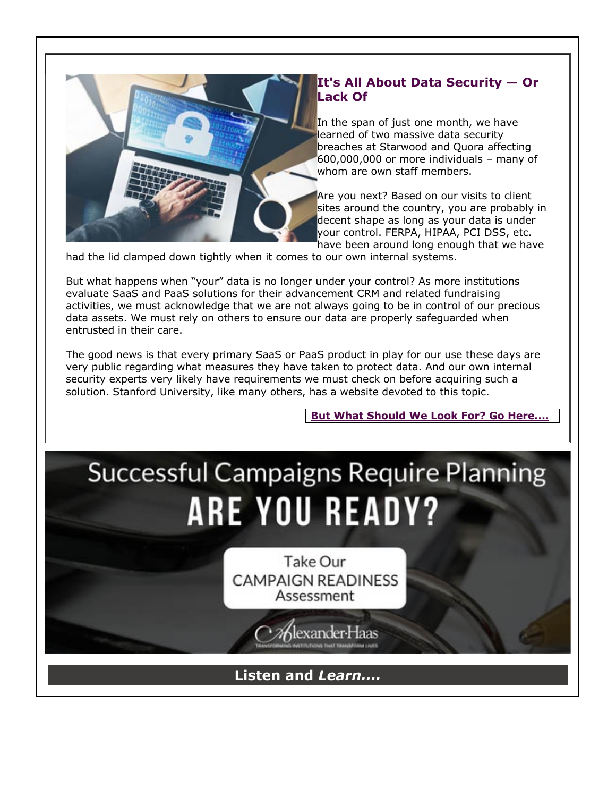

### **It's All About Data Security — Or Lack Of**

In the span of just one month, we have learned of two massive data security breaches at Starwood and Quora affecting 600,000,000 or more individuals – many of whom are own staff members.

Are you next? Based on our visits to client sites around the country, you are probably in decent shape as long as your data is under your control. FERPA, HIPAA, PCI DSS, etc. have been around long enough that we have

had the lid clamped down tightly when it comes to our own internal systems.

But what happens when "your" data is no longer under your control? As more institutions evaluate SaaS and PaaS solutions for their advancement CRM and related fundraising activities, we must acknowledge that we are not always going to be in control of our precious data assets. We must rely on others to ensure our data are properly safeguarded when entrusted in their care.

The good news is that every primary SaaS or PaaS product in play for our use these days are very public regarding what measures they have taken to protect data. And our own internal security experts very likely have requirements we must check on before acquiring such a solution. Stanford University, like many others, has a website devoted to this topic.

### **[But What Should We Look For? Go Here....](http://fundraisingcounsel.com/its-all-about-data-security-or-lack-of/)**

# **Successful Campaigns Require Planning ARE YOU READY?**

Take Our **CAMPAIGN READINESS** Assessment

exander Haas

**Listen and** *Learn....*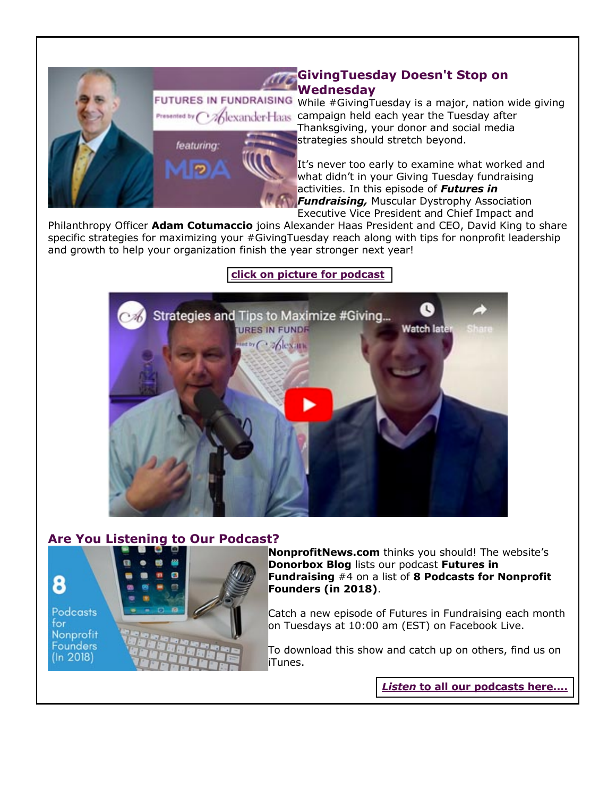# Presented by / featuring:

**GivingTuesday Doesn't Stop on Wednesday**

FUTURES IN FUNDRAISING While #GivingTuesday is a major, nation wide giving **Callexander Haas** campaign held each year the Tuesday after Thanksgiving, your donor and social media strategies should stretch beyond.

> It's never too early to examine what worked and what didn't in your Giving Tuesday fundraising activities. In this episode of *Futures in Fundraising,* Muscular Dystrophy Association Executive Vice President and Chief Impact and

Philanthropy Officer **Adam Cotumaccio** joins Alexander Haas President and CEO, David King to share specific strategies for maximizing your #GivingTuesday reach along with tips for nonprofit leadership and growth to help your organization finish the year stronger next year!

### **[click on picture for podcast](http://fundraisingcounsel.com/strategies-and-tips-to-maximize-givingtuesday-with-adam-cotumaccio-of-mda/)**



### **Are You Listening to Our Podcast?**



**Podcasts** for Nonprofit **Founders**  $(ln 2018)$ 



**NonprofitNews.com** thinks you should! The website's **Donorbox Blog** lists our podcast **Futures in Fundraising** #4 on a list of **8 Podcasts for Nonprofit Founders (in 2018)**.

Catch a new episode of Futures in Fundraising each month on Tuesdays at 10:00 am (EST) on Facebook Live.

To download this show and catch up on others, find us on iTunes.

*Listen* **[to all our podcasts here....](http://fundraisingcounsel.com/news-views/futures-in-fundraising-podcasts/)**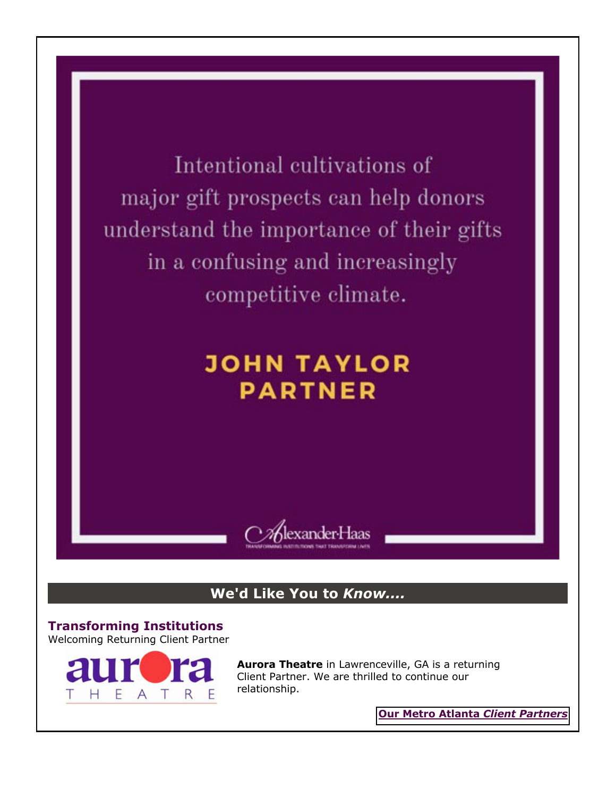Intentional cultivations of major gift prospects can help donors understand the importance of their gifts in a confusing and increasingly competitive climate.

## **JOHN TAYLOR PARTNER**



### **We'd Like You to** *Know....*

**Transforming Institutions** Welcoming Returning Client Partner



**Aurora Theatre** in Lawrenceville, GA is a returning Client Partner. We are thrilled to continue our relationship.

**[Our Metro Atlanta](http://fundraisingcounsel.com/our-clients/)** *Client Partners*